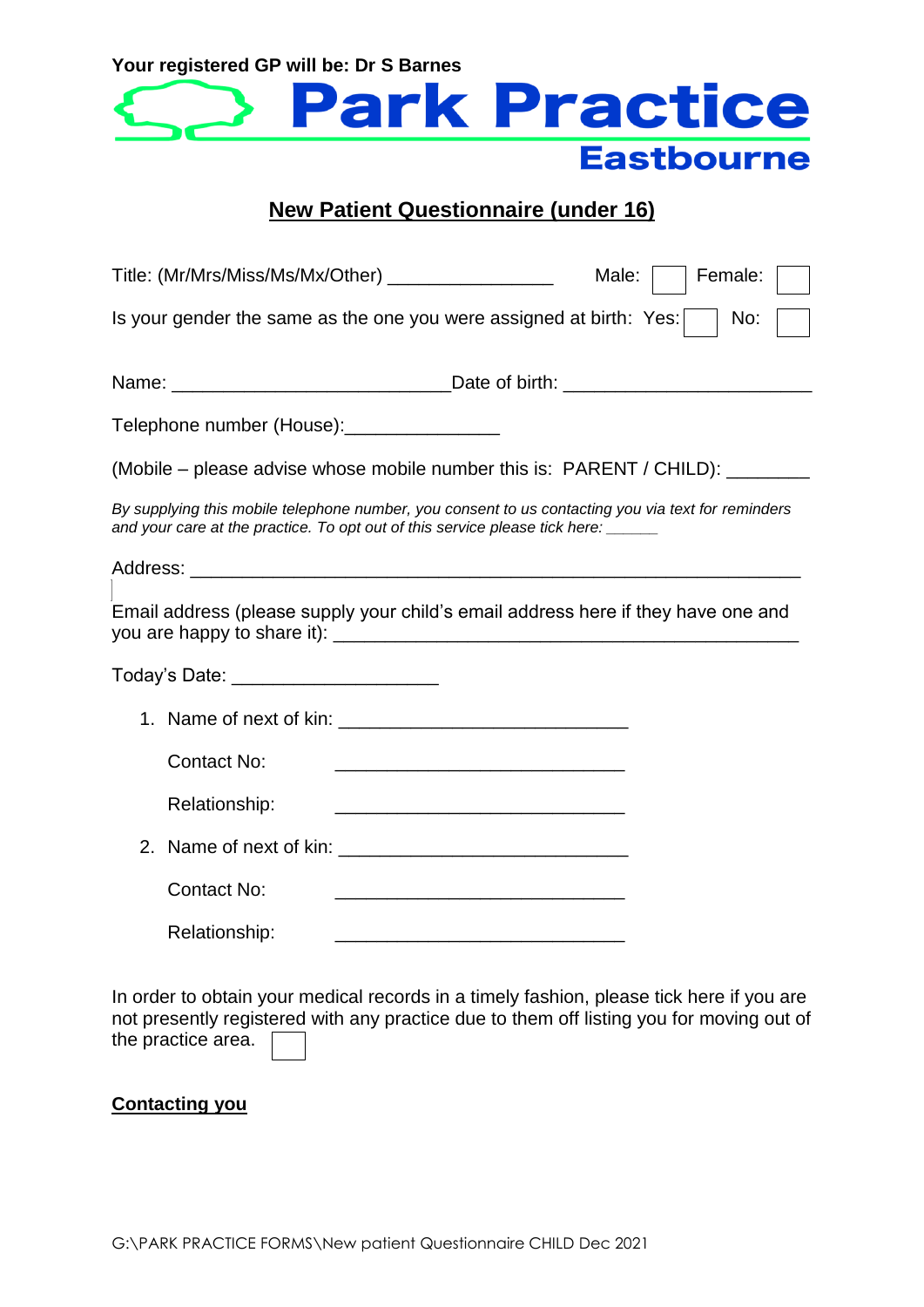

# **New Patient Questionnaire (under 16)**

| Title: (Mr/Mrs/Miss/Ms/Mx/Other) __________________                                                                                                                               |                                                                                                                        | Male: | Female: |
|-----------------------------------------------------------------------------------------------------------------------------------------------------------------------------------|------------------------------------------------------------------------------------------------------------------------|-------|---------|
| Is your gender the same as the one you were assigned at birth: Yes:                                                                                                               |                                                                                                                        |       | No:     |
|                                                                                                                                                                                   |                                                                                                                        |       |         |
| Telephone number (House): __________________                                                                                                                                      |                                                                                                                        |       |         |
| (Mobile – please advise whose mobile number this is: PARENT / CHILD): _________                                                                                                   |                                                                                                                        |       |         |
| By supplying this mobile telephone number, you consent to us contacting you via text for reminders<br>and your care at the practice. To opt out of this service please tick here: |                                                                                                                        |       |         |
|                                                                                                                                                                                   |                                                                                                                        |       |         |
| Email address (please supply your child's email address here if they have one and                                                                                                 |                                                                                                                        |       |         |
| Today's Date: _______________________                                                                                                                                             |                                                                                                                        |       |         |
|                                                                                                                                                                                   |                                                                                                                        |       |         |
| <b>Contact No:</b>                                                                                                                                                                | <u> 1999 - Johann John Harry Harry Harry Harry Harry Harry Harry Harry Harry Harry Harry Harry Harry Harry Harry</u>   |       |         |
| Relationship:                                                                                                                                                                     | <u> 1989 - Johann Harry Harry Harry Harry Harry Harry Harry Harry Harry Harry Harry Harry Harry Harry Harry Harry</u>  |       |         |
|                                                                                                                                                                                   | 2. Name of next of kin:                                                                                                |       |         |
| <b>Contact No:</b>                                                                                                                                                                |                                                                                                                        |       |         |
| Relationship:                                                                                                                                                                     | <u> 1989 - Johann John Stone, mars et al. 1989 - John Stone, mars et al. 1989 - John Stone, mars et al. 1989 - Joh</u> |       |         |

In order to obtain your medical records in a timely fashion, please tick here if you are not presently registered with any practice due to them off listing you for moving out of the practice area.

# **Contacting you**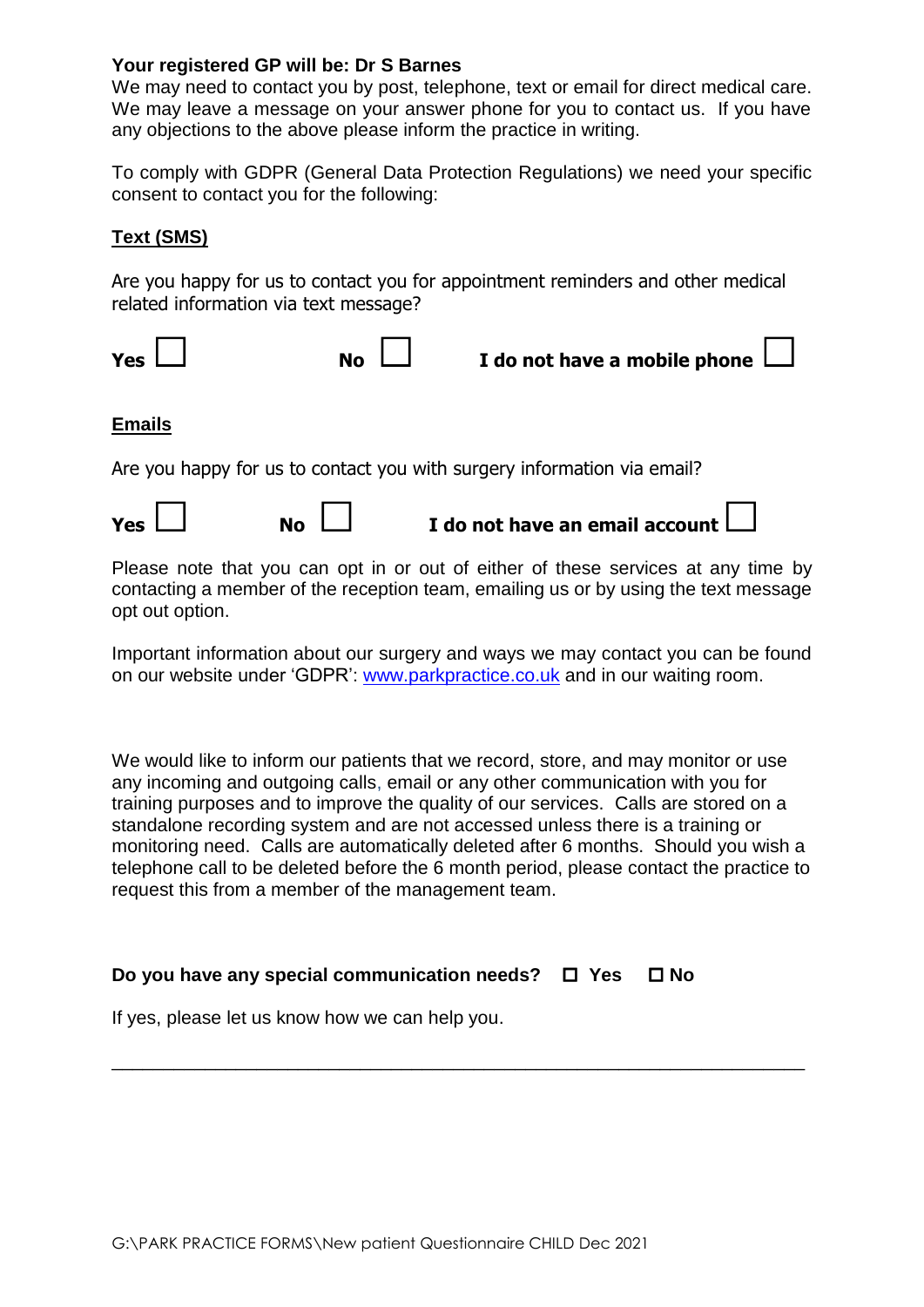We may need to contact you by post, telephone, text or email for direct medical care. We may leave a message on your answer phone for you to contact us. If you have any objections to the above please inform the practice in writing.

To comply with GDPR (General Data Protection Regulations) we need your specific consent to contact you for the following:

## **Text (SMS)**

Are you happy for us to contact you for appointment reminders and other medical related information via text message?



#### **Emails**

Are you happy for us to contact you with surgery information via email?

Please note that you can opt in or out of either of these services at any time by contacting a member of the reception team, emailing us or by using the text message opt out option.

Important information about our surgery and ways we may contact you can be found on our website under 'GDPR': [www.parkpractice.co.uk](http://www.parkpractice.co.uk/) and in our waiting room.

We would like to inform our patients that we record, store, and may monitor or use any incoming and outgoing calls, email or any other communication with you for training purposes and to improve the quality of our services. Calls are stored on a standalone recording system and are not accessed unless there is a training or monitoring need. Calls are automatically deleted after 6 months. Should you wish a telephone call to be deleted before the 6 month period, please contact the practice to request this from a member of the management team.

\_\_\_\_\_\_\_\_\_\_\_\_\_\_\_\_\_\_\_\_\_\_\_\_\_\_\_\_\_\_\_\_\_\_\_\_\_\_\_\_\_\_\_\_\_\_\_\_\_\_\_\_\_\_\_\_\_\_\_\_\_\_\_\_\_\_\_

### **Do you have any special communication needs? □ Yes □ No**

If yes, please let us know how we can help you.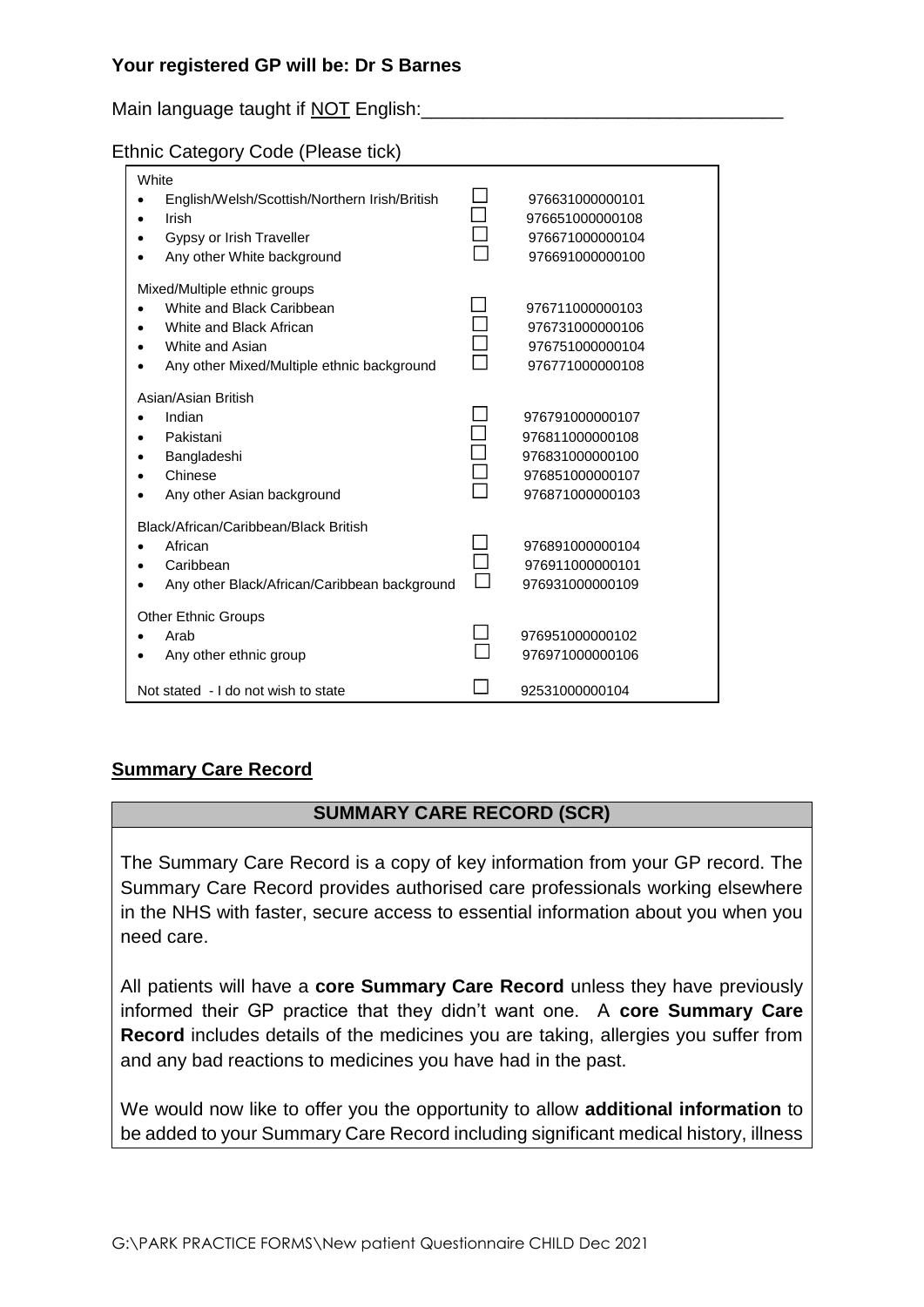Main language taught if NOT English:

### Ethnic Category Code (Please tick)

| White<br>English/Welsh/Scottish/Northern Irish/British<br>Irish<br>Gypsy or Irish Traveller<br>Any other White background                             | 976631000000101<br>976651000000108<br>976671000000104<br>976691000000100                    |
|-------------------------------------------------------------------------------------------------------------------------------------------------------|---------------------------------------------------------------------------------------------|
| Mixed/Multiple ethnic groups<br>White and Black Caribbean<br>White and Black African<br>White and Asian<br>Any other Mixed/Multiple ethnic background | 976711000000103<br>976731000000106<br>976751000000104<br>976771000000108                    |
| Asian/Asian British<br>Indian<br>Pakistani<br>Bangladeshi<br>Chinese<br>Any other Asian background                                                    | 976791000000107<br>976811000000108<br>976831000000100<br>976851000000107<br>976871000000103 |
| Black/African/Caribbean/Black British<br>African<br>Caribbean<br>Any other Black/African/Caribbean background                                         | 976891000000104<br>976911000000101<br>976931000000109                                       |
| <b>Other Ethnic Groups</b><br>Arab<br>Any other ethnic group                                                                                          | 976951000000102<br>976971000000106                                                          |
| Not stated - I do not wish to state                                                                                                                   | 92531000000104                                                                              |

### **Summary Care Record**

### **SUMMARY CARE RECORD (SCR)**

The Summary Care Record is a copy of key information from your GP record. The Summary Care Record provides authorised care professionals working elsewhere in the NHS with faster, secure access to essential information about you when you need care.

All patients will have a **core Summary Care Record** unless they have previously informed their GP practice that they didn't want one. A **core Summary Care Record** includes details of the medicines you are taking, allergies you suffer from and any bad reactions to medicines you have had in the past.

We would now like to offer you the opportunity to allow **additional information** to be added to your Summary Care Record including significant medical history, illness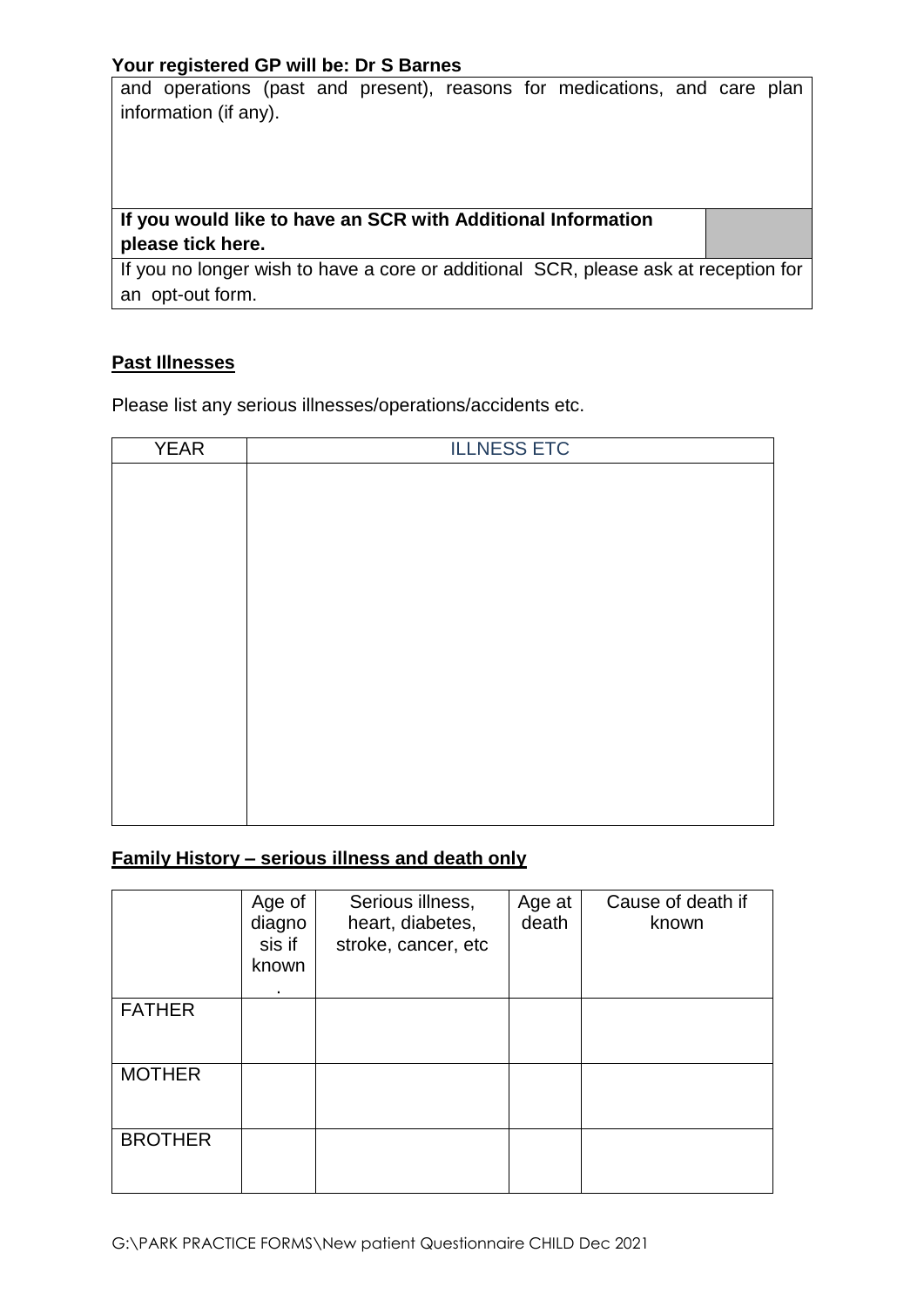and operations (past and present), reasons for medications, and care plan information (if any).

**If you would like to have an SCR with Additional Information please tick here.**

If you no longer wish to have a core or additional SCR, please ask at reception for an opt-out form.

#### **Past Illnesses**

Please list any serious illnesses/operations/accidents etc.

| <b>YEAR</b> | <b>ILLNESS ETC</b> |
|-------------|--------------------|
|             |                    |
|             |                    |
|             |                    |
|             |                    |
|             |                    |
|             |                    |
|             |                    |
|             |                    |
|             |                    |
|             |                    |
|             |                    |
|             |                    |
|             |                    |
|             |                    |

#### **Family History – serious illness and death only**

|                | Age of<br>diagno<br>sis if<br>known<br>٠ | Serious illness,<br>heart, diabetes,<br>stroke, cancer, etc | Age at<br>death | Cause of death if<br>known |
|----------------|------------------------------------------|-------------------------------------------------------------|-----------------|----------------------------|
| <b>FATHER</b>  |                                          |                                                             |                 |                            |
| <b>MOTHER</b>  |                                          |                                                             |                 |                            |
| <b>BROTHER</b> |                                          |                                                             |                 |                            |